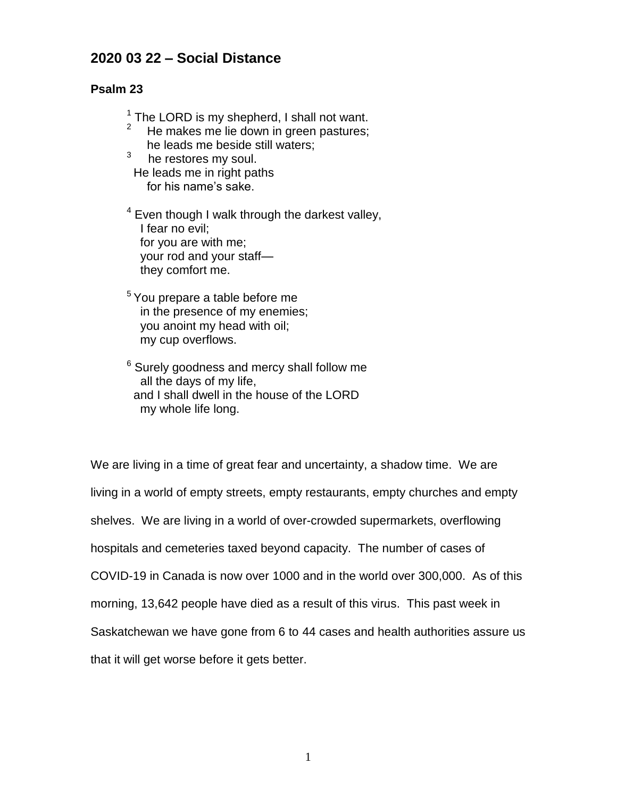## **2020 03 22 – Social Distance**

## **Psalm 23**

 $1$  The LORD is my shepherd, I shall not want.

- 2 He makes me lie down in green pastures; he leads me beside still waters;
- 3 he restores my soul. He leads me in right paths for his name's sake.

 $4$  Even though I walk through the darkest valley, I fear no evil; for you are with me; your rod and your staff they comfort me.

<sup>5</sup>You prepare a table before me in the presence of my enemies; you anoint my head with oil; my cup overflows.

<sup>6</sup> Surely goodness and mercy shall follow me all the days of my life, and I shall dwell in the house of the LORD my whole life long.

We are living in a time of great fear and uncertainty, a shadow time. We are living in a world of empty streets, empty restaurants, empty churches and empty shelves. We are living in a world of over-crowded supermarkets, overflowing hospitals and cemeteries taxed beyond capacity. The number of cases of COVID-19 in Canada is now over 1000 and in the world over 300,000. As of this morning, 13,642 people have died as a result of this virus. This past week in Saskatchewan we have gone from 6 to 44 cases and health authorities assure us that it will get worse before it gets better.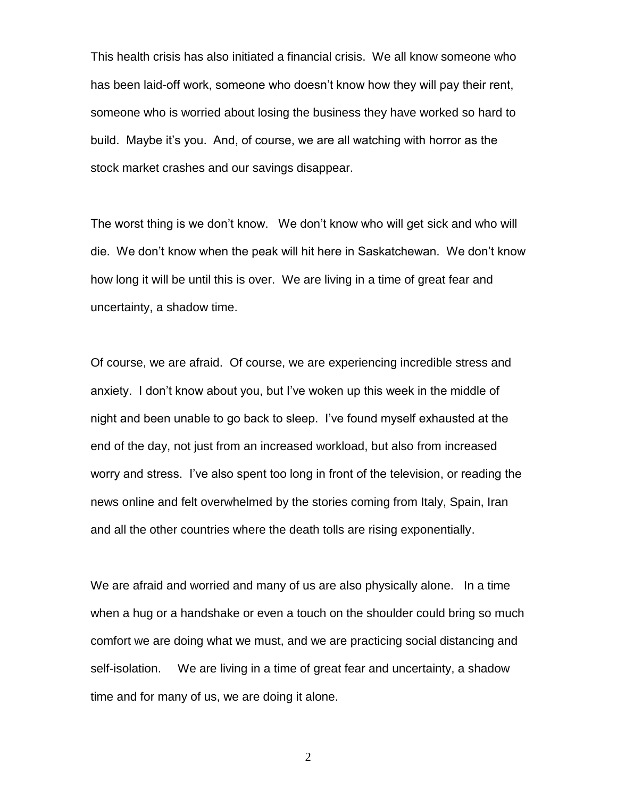This health crisis has also initiated a financial crisis. We all know someone who has been laid-off work, someone who doesn't know how they will pay their rent, someone who is worried about losing the business they have worked so hard to build. Maybe it's you. And, of course, we are all watching with horror as the stock market crashes and our savings disappear.

The worst thing is we don't know. We don't know who will get sick and who will die. We don't know when the peak will hit here in Saskatchewan. We don't know how long it will be until this is over. We are living in a time of great fear and uncertainty, a shadow time.

Of course, we are afraid. Of course, we are experiencing incredible stress and anxiety. I don't know about you, but I've woken up this week in the middle of night and been unable to go back to sleep. I've found myself exhausted at the end of the day, not just from an increased workload, but also from increased worry and stress. I've also spent too long in front of the television, or reading the news online and felt overwhelmed by the stories coming from Italy, Spain, Iran and all the other countries where the death tolls are rising exponentially.

We are afraid and worried and many of us are also physically alone. In a time when a hug or a handshake or even a touch on the shoulder could bring so much comfort we are doing what we must, and we are practicing social distancing and self-isolation. We are living in a time of great fear and uncertainty, a shadow time and for many of us, we are doing it alone.

2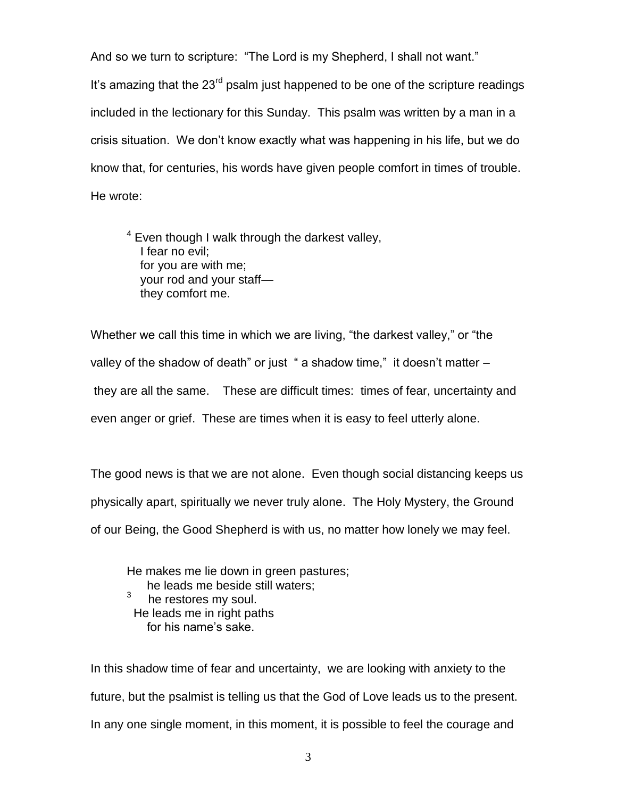And so we turn to scripture: "The Lord is my Shepherd, I shall not want." It's amazing that the  $23<sup>rd</sup>$  psalm just happened to be one of the scripture readings included in the lectionary for this Sunday. This psalm was written by a man in a crisis situation. We don't know exactly what was happening in his life, but we do know that, for centuries, his words have given people comfort in times of trouble. He wrote:

 $4$  Even though I walk through the darkest valley, I fear no evil; for you are with me; your rod and your staff they comfort me.

Whether we call this time in which we are living, "the darkest valley," or "the valley of the shadow of death" or just " a shadow time," it doesn't matter – they are all the same. These are difficult times: times of fear, uncertainty and even anger or grief. These are times when it is easy to feel utterly alone.

The good news is that we are not alone. Even though social distancing keeps us physically apart, spiritually we never truly alone. The Holy Mystery, the Ground of our Being, the Good Shepherd is with us, no matter how lonely we may feel.

He makes me lie down in green pastures; he leads me beside still waters; 3 he restores my soul. He leads me in right paths

for his name's sake.

In this shadow time of fear and uncertainty, we are looking with anxiety to the future, but the psalmist is telling us that the God of Love leads us to the present. In any one single moment, in this moment, it is possible to feel the courage and

3